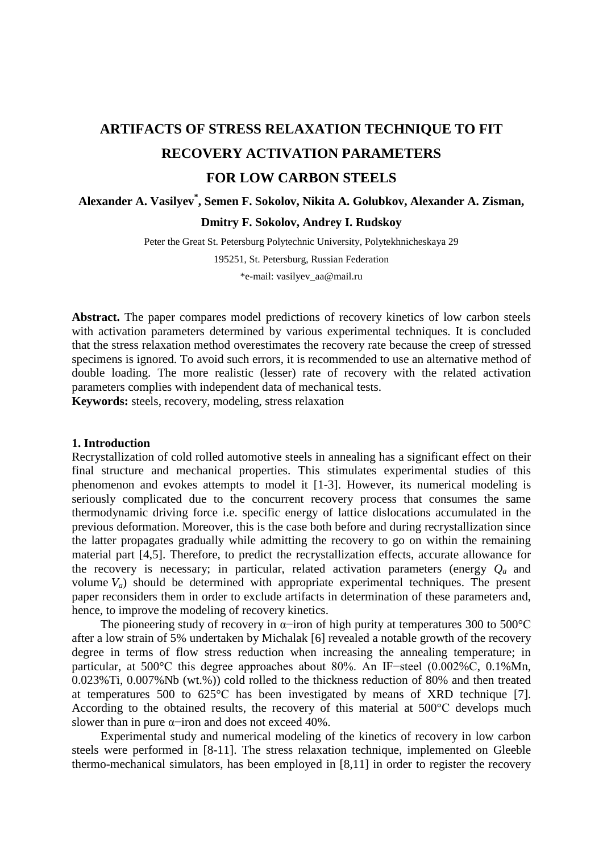# **ARTIFACTS OF STRESS RELAXATION TECHNIQUE TO FIT RECOVERY ACTIVATION PARAMETERS FOR LOW CARBON STEELS**

# **Alexander A. Vasilyev\* , Semen F. Sokolov, Nikita A. Golubkov, Alexander A. Zisman, Dmitry F. Sokolov, Andrey I. Rudskoy**

Peter the Great St. Petersburg Polytechnic University, Polytekhnicheskaya 29

195251, St. Petersburg, Russian Federation

\*e-mail: vasilyev\_aa@mail.ru

**Abstract.** The paper compares model predictions of recovery kinetics of low carbon steels with activation parameters determined by various experimental techniques. It is concluded that the stress relaxation method overestimates the recovery rate because the creep of stressed specimens is ignored. To avoid such errors, it is recommended to use an alternative method of double loading. The more realistic (lesser) rate of recovery with the related activation parameters complies with independent data of mechanical tests.

**Keywords:** steels, recovery, modeling, stress relaxation

# **1. Introduction**

Recrystallization of cold rolled automotive steels in annealing has a significant effect on their final structure and mechanical properties. This stimulates experimental studies of this phenomenon and evokes attempts to model it [1-3]. However, its numerical modeling is seriously complicated due to the concurrent recovery process that consumes the same thermodynamic driving force i.e. specific energy of lattice dislocations accumulated in the previous deformation. Moreover, this is the case both before and during recrystallization since the latter propagates gradually while admitting the recovery to go on within the remaining material part [4,5]. Therefore, to predict the recrystallization effects, accurate allowance for the recovery is necessary; in particular, related activation parameters (energy *Qa* and volume  $V_a$ ) should be determined with appropriate experimental techniques. The present paper reconsiders them in order to exclude artifacts in determination of these parameters and, hence, to improve the modeling of recovery kinetics.

The pioneering study of recovery in  $\alpha$ -iron of high purity at temperatures 300 to 500°C after a low strain of 5% undertaken by Michalak [6] revealed a notable growth of the recovery degree in terms of flow stress reduction when increasing the annealing temperature; in particular, at 500°С this degree approaches about 80%. An IF−steel (0.002%С, 0.1%Mn, 0.023%Ti, 0.007%Nb (wt.%)) cold rolled to the thickness reduction of 80% and then treated at temperatures 500 to 625°С has been investigated by means of XRD technique [7]. According to the obtained results, the recovery of this material at 500°С develops much slower than in pure α−iron and does not exceed 40%.

Experimental study and numerical modeling of the kinetics of recovery in low carbon steels were performed in [8-11]. The stress relaxation technique, implemented on Gleeble thermo-mechanical simulators, has been employed in [8,11] in order to register the recovery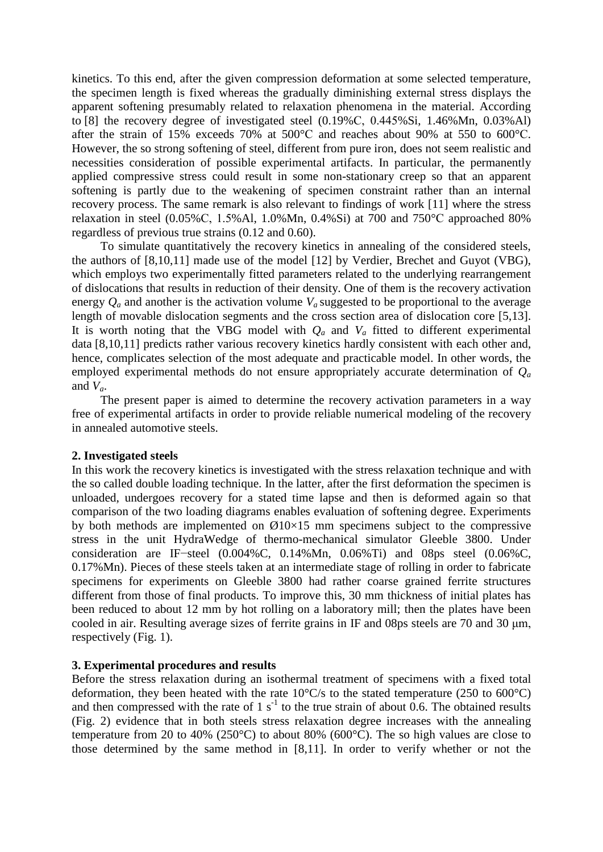kinetics. To this end, after the given compression deformation at some selected temperature, the specimen length is fixed whereas the gradually diminishing external stress displays the apparent softening presumably related to relaxation phenomena in the material. According to [8] the recovery degree of investigated steel (0.19%С, 0.445%Si, 1.46%Mn, 0.03%Al) after the strain of 15% exceeds 70% at 500°С and reaches about 90% at 550 to 600°С. However, the so strong softening of steel, different from pure iron, does not seem realistic and necessities consideration of possible experimental artifacts. In particular, the permanently applied compressive stress could result in some non-stationary creep so that an apparent softening is partly due to the weakening of specimen constraint rather than an internal recovery process. The same remark is also relevant to findings of work [11] where the stress relaxation in steel (0.05%С, 1.5%Al, 1.0%Mn, 0.4%Si) at 700 and 750°С approached 80% regardless of previous true strains (0.12 and 0.60).

To simulate quantitatively the recovery kinetics in annealing of the considered steels, the authors of [8,10,11] made use of the model [12] by Verdier, Brechet and Guyot (VBG), which employs two experimentally fitted parameters related to the underlying rearrangement of dislocations that results in reduction of their density. One of them is the recovery activation energy  $Q_a$  and another is the activation volume  $V_a$  suggested to be proportional to the average length of movable dislocation segments and the cross section area of dislocation core [5,13]. It is worth noting that the VBG model with  $Q_a$  and  $V_a$  fitted to different experimental data [8,10,11] predicts rather various recovery kinetics hardly consistent with each other and, hence, complicates selection of the most adequate and practicable model. In other words, the employed experimental methods do not ensure appropriately accurate determination of *Qa* and  $V_a$ .

The present paper is aimed to determine the recovery activation parameters in a way free of experimental artifacts in order to provide reliable numerical modeling of the recovery in annealed automotive steels.

### **2. Investigated steels**

In this work the recovery kinetics is investigated with the stress relaxation technique and with the so called double loading technique. In the latter, after the first deformation the specimen is unloaded, undergoes recovery for a stated time lapse and then is deformed again so that comparison of the two loading diagrams enables evaluation of softening degree. Experiments by both methods are implemented on  $\emptyset$ 10×15 mm specimens subject to the compressive stress in the unit HydraWedge of thermo-mechanical simulator Gleeble 3800. Under consideration are IF−steel (0.004%C, 0.14%Mn, 0.06%Ti) and 08ps steel (0.06%C, 0.17%Mn). Pieces of these steels taken at an intermediate stage of rolling in order to fabricate specimens for experiments on Gleeble 3800 had rather coarse grained ferrite structures different from those of final products. To improve this, 30 mm thickness of initial plates has been reduced to about 12 mm by hot rolling on a laboratory mill; then the plates have been cooled in air. Resulting average sizes of ferrite grains in IF and 08ps steels are 70 and 30 μm, respectively (Fig. 1).

## **3. Experimental procedures and results**

Before the stress relaxation during an isothermal treatment of specimens with a fixed total deformation, they been heated with the rate  $10^{\circ}$ C/s to the stated temperature (250 to 600 $^{\circ}$ C) and then compressed with the rate of  $1 \text{ s}^{-1}$  to the true strain of about 0.6. The obtained results (Fig. 2) evidence that in both steels stress relaxation degree increases with the annealing temperature from 20 to 40% (250°C) to about 80% (600°C). The so high values are close to those determined by the same method in [8,11]. In order to verify whether or not the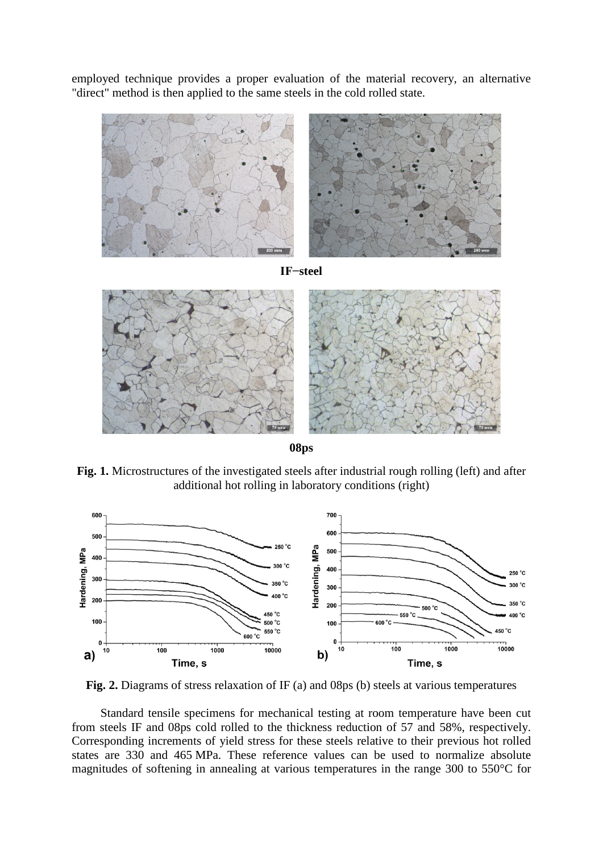employed technique provides a proper evaluation of the material recovery, an alternative "direct" method is then applied to the same steels in the cold rolled state.



**08ps**

**Fig. 1.** Microstructures of the investigated steels after industrial rough rolling (left) and after additional hot rolling in laboratory conditions (right)



**Fig. 2.** Diagrams of stress relaxation of IF (a) and 08ps (b) steels at various temperatures

Standard tensile specimens for mechanical testing at room temperature have been cut from steels IF and 08ps cold rolled to the thickness reduction of 57 and 58%, respectively. Corresponding increments of yield stress for these steels relative to their previous hot rolled states are 330 and 465 MPa. These reference values can be used to normalize absolute magnitudes of softening in annealing at various temperatures in the range 300 to 550°C for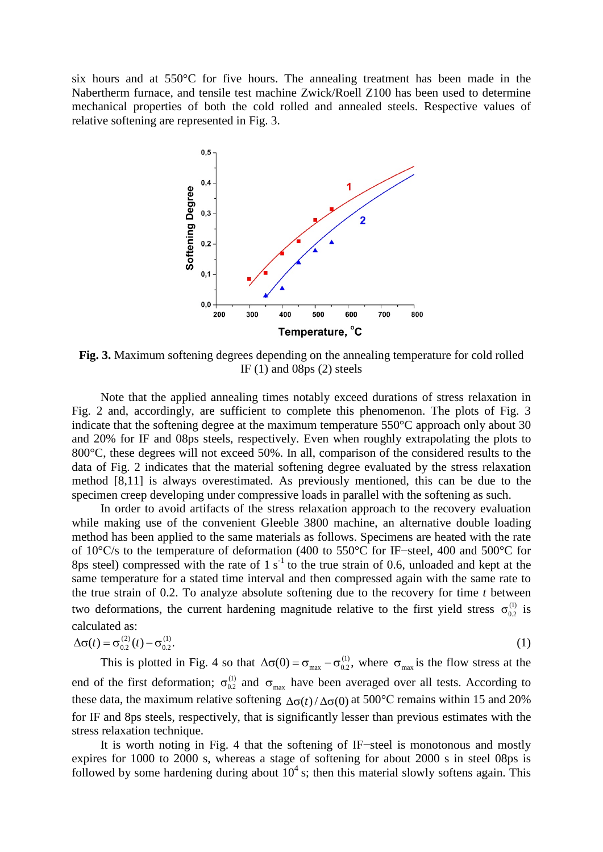six hours and at 550°C for five hours. The annealing treatment has been made in the Nabertherm furnace, and tensile test machine Zwick/Roell Z100 has been used to determine mechanical properties of both the cold rolled and annealed steels. Respective values of relative softening are represented in Fig. 3.



**Fig. 3.** Maximum softening degrees depending on the annealing temperature for cold rolled IF  $(1)$  and 08ps  $(2)$  steels

Note that the applied annealing times notably exceed durations of stress relaxation in Fig. 2 and, accordingly, are sufficient to complete this phenomenon. The plots of Fig. 3 indicate that the softening degree at the maximum temperature 550°C approach only about 30 and 20% for IF and 08ps steels, respectively. Even when roughly extrapolating the plots to 800 °C, these degrees will not exceed 50%. In all, comparison of the considered results to the data of Fig. 2 indicates that the material softening degree evaluated by the stress relaxation method [8,11] is always overestimated. As previously mentioned, this can be due to the specimen creep developing under compressive loads in parallel with the softening as such.

In order to avoid artifacts of the stress relaxation approach to the recovery evaluation while making use of the convenient Gleeble 3800 machine, an alternative double loading method has been applied to the same materials as follows. Specimens are heated with the rate of 10°С/s to the temperature of deformation (400 to 550°C for IF−steel, 400 and 500°C for 8ps steel) compressed with the rate of  $1 \text{ s}^{-1}$  to the true strain of 0.6, unloaded and kept at the same temperature for a stated time interval and then compressed again with the same rate to the true strain of 0.2. To analyze absolute softening due to the recovery for time *t* between two deformations, the current hardening magnitude relative to the first yield stress  $\sigma_{02}^{(1)}$  is calculated as:

$$
\Delta \sigma(t) = \sigma_{0.2}^{(2)}(t) - \sigma_{0.2}^{(1)}.
$$
 (1)

This is plotted in Fig. 4 so that  $\Delta\sigma(0) = \sigma_{\text{max}} - \sigma_{0.2}^{(1)}$ , where  $\sigma_{\text{max}}$  is the flow stress at the end of the first deformation;  $\sigma_{0.2}^{(1)}$  and  $\sigma_{max}$  have been averaged over all tests. According to these data, the maximum relative softening  $\Delta \sigma(t) / \Delta \sigma(0)$  at 500°C remains within 15 and 20% for IF and 8ps steels, respectively, that is significantly lesser than previous estimates with the stress relaxation technique.

It is worth noting in Fig. 4 that the softening of IF−steel is monotonous and mostly expires for 1000 to 2000 s, whereas a stage of softening for about 2000 s in steel 08ps is followed by some hardening during about  $10<sup>4</sup>$  s; then this material slowly softens again. This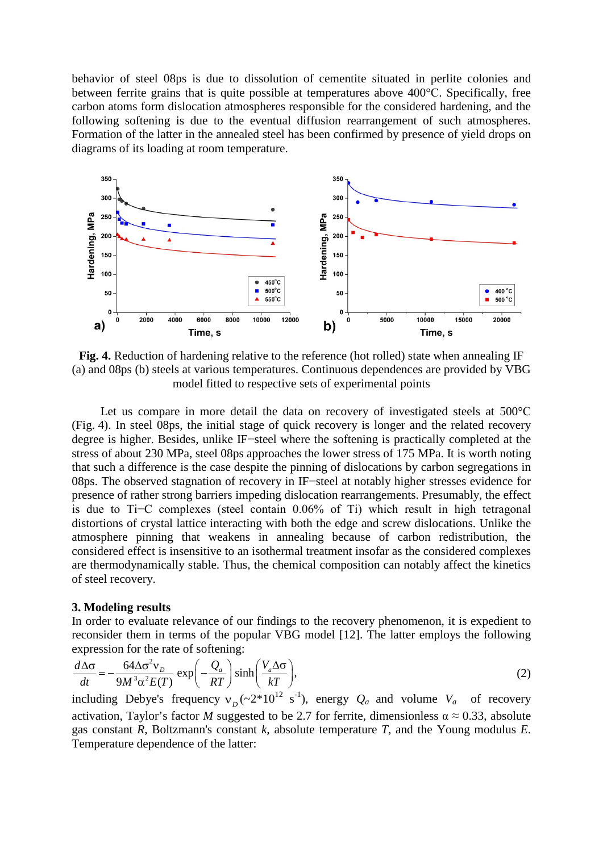behavior of steel 08ps is due to dissolution of cementite situated in perlite colonies and between ferrite grains that is quite possible at temperatures above 400°С. Specifically, free carbon atoms form dislocation atmospheres responsible for the considered hardening, and the following softening is due to the eventual diffusion rearrangement of such atmospheres. Formation of the latter in the annealed steel has been confirmed by presence of yield drops on diagrams of its loading at room temperature.



**Fig. 4.** Reduction of hardening relative to the reference (hot rolled) state when annealing IF (a) and 08ps (b) steels at various temperatures. Continuous dependences are provided by VBG model fitted to respective sets of experimental points

Let us compare in more detail the data on recovery of investigated steels at 500°С (Fig. 4). In steel 08ps, the initial stage of quick recovery is longer and the related recovery degree is higher. Besides, unlike IF−steel where the softening is practically completed at the stress of about 230 MPa, steel 08ps approaches the lower stress of 175 MPa. It is worth noting that such a difference is the case despite the pinning of dislocations by carbon segregations in 08ps. The observed stagnation of recovery in IF−steel at notably higher stresses evidence for presence of rather strong barriers impeding dislocation rearrangements. Presumably, the effect is due to Ti−C complexes (steel contain 0.06% of Ti) which result in high tetragonal distortions of crystal lattice interacting with both the edge and screw dislocations. Unlike the atmosphere pinning that weakens in annealing because of carbon redistribution, the considered effect is insensitive to an isothermal treatment insofar as the considered complexes are thermodynamically stable. Thus, the chemical composition can notably affect the kinetics of steel recovery.

### **3. Modeling results**

In order to evaluate relevance of our findings to the recovery phenomenon, it is expedient to reconsider them in terms of the popular VBG model [12]. The latter employs the following expression for the rate of softening:

$$
\frac{d\Delta\sigma}{dt} = -\frac{64\Delta\sigma^2 v_D}{9M^3\alpha^2 E(T)} \exp\left(-\frac{Q_a}{RT}\right) \sinh\left(\frac{V_a \Delta\sigma}{kT}\right),\tag{2}
$$

including Debye's frequency  $v_D$  ( $\sim 2*10^{12}$  s<sup>-1</sup>), energy  $Q_a$  and volume  $V_a$  of recovery activation, Taylor's factor *M* suggested to be 2.7 for ferrite, dimensionless  $\alpha \approx 0.33$ , absolute gas constant *R*, Boltzmann's constant *k*, absolute temperature *T*, and the Young modulus *E*. Temperature dependence of the latter: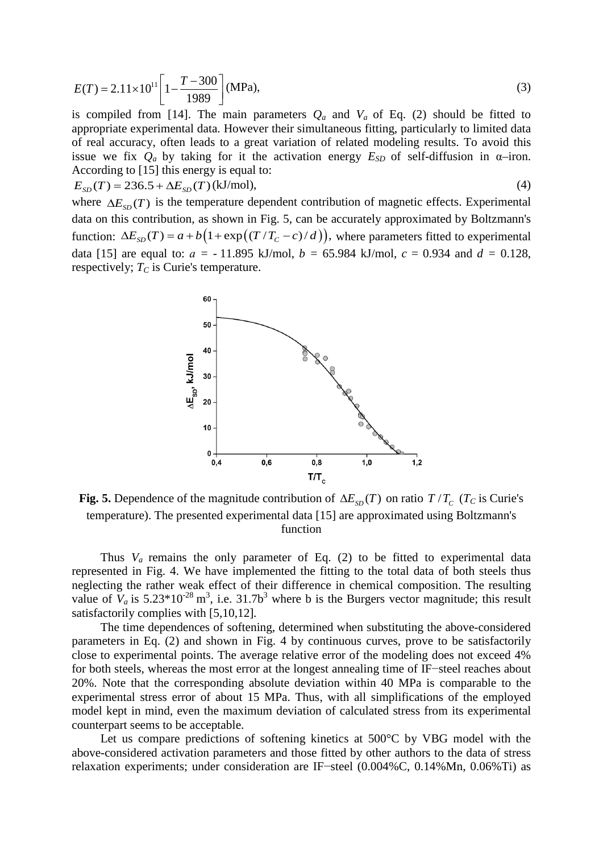188 Alexander A. Vasilyev, Semen F. Sokolov, Nikita A. Golubkov, Alexander A. Zisman, Dmitry F. Sokolov et al.

$$
E(T) = 2.11 \times 10^{11} \left[ 1 - \frac{T - 300}{1989} \right] \text{(MPa)},\tag{3}
$$

is compiled from [14]. The main parameters  $Q_a$  and  $V_a$  of Eq. (2) should be fitted to appropriate experimental data. However their simultaneous fitting, particularly to limited data of real accuracy, often leads to a great variation of related modeling results. To avoid this issue we fix  $Q_a$  by taking for it the activation energy  $E_{SD}$  of self-diffusion in  $\alpha$ -iron. According to [15] this energy is equal to:

$$
E_{SD}(T) = 236.5 + \Delta E_{SD}(T) \text{ (kJ/mol)},\tag{4}
$$

where  $\Delta E_{\rm SD}(T)$  is the temperature dependent contribution of magnetic effects. Experimental data on this contribution, as shown in Fig. 5, can be accurately approximated by Boltzmann's function:  $\Delta E_{SD}(T) = a + b \left( 1 + \exp\left( \frac{(T/T_c - c)}{d} \right) \right)$ , where parameters fitted to experimental data [15] are equal to:  $a = -11.895$  kJ/mol,  $b = 65.984$  kJ/mol,  $c = 0.934$  and  $d = 0.128$ , respectively;  $T_C$  is Curie's temperature.



**Fig. 5.** Dependence of the magnitude contribution of  $\Delta E_{\rm SD}(T)$  on ratio  $T/T_c$  ( $T_c$  is Curie's temperature). The presented experimental data [15] are approximated using Boltzmann's function

Thus  $V_a$  remains the only parameter of Eq. (2) to be fitted to experimental data represented in Fig. 4. We have implemented the fitting to the total data of both steels thus neglecting the rather weak effect of their difference in chemical composition. The resulting value of  $V_a$  is 5.23\*10<sup>-28</sup> m<sup>3</sup>, i.e. 31.7b<sup>3</sup> where b is the Burgers vector magnitude; this result satisfactorily complies with [5,10,12]*.* 

The time dependences of softening, determined when substituting the above-considered parameters in Eq. (2) and shown in Fig. 4 by continuous curves, prove to be satisfactorily close to experimental points. The average relative error of the modeling does not exceed 4% for both steels, whereas the most error at the longest annealing time of IF−steel reaches about 20%. Note that the corresponding absolute deviation within 40 MPa is comparable to the experimental stress error of about 15 MPa. Thus, with all simplifications of the employed model kept in mind, even the maximum deviation of calculated stress from its experimental counterpart seems to be acceptable.

Let us compare predictions of softening kinetics at 500°C by VBG model with the above-considered activation parameters and those fitted by other authors to the data of stress relaxation experiments; under consideration are IF−steel (0.004%C, 0.14%Mn, 0.06%Ti) as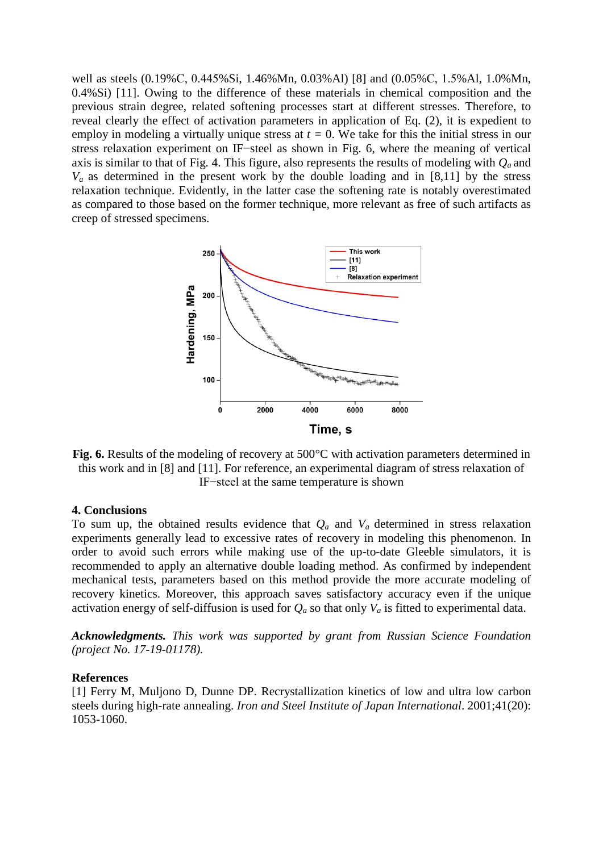Artifacts of stress relaxation technique to fit recovery activation parameters for low carbon steels 189

well as steels (0.19%С, 0.445%Si, 1.46%Mn, 0.03%Al) [8] and (0.05%С, 1.5%Al, 1.0%Mn, 0.4%Si) [11]. Owing to the difference of these materials in chemical composition and the previous strain degree, related softening processes start at different stresses. Therefore, to reveal clearly the effect of activation parameters in application of Eq. (2), it is expedient to employ in modeling a virtually unique stress at  $t = 0$ . We take for this the initial stress in our stress relaxation experiment on IF−steel as shown in Fig. 6, where the meaning of vertical axis is similar to that of Fig. 4. This figure, also represents the results of modeling with  $Q_a$  and  $V_a$  as determined in the present work by the double loading and in [8,11] by the stress relaxation technique. Evidently, in the latter case the softening rate is notably overestimated as compared to those based on the former technique, more relevant as free of such artifacts as creep of stressed specimens.



**Fig. 6.** Results of the modeling of recovery at 500°C with activation parameters determined in this work and in [8] and [11]. For reference, an experimental diagram of stress relaxation of IF−steel at the same temperature is shown

#### **4. Conclusions**

To sum up, the obtained results evidence that  $Q_a$  and  $V_a$  determined in stress relaxation experiments generally lead to excessive rates of recovery in modeling this phenomenon. In order to avoid such errors while making use of the up-to-date Gleeble simulators, it is recommended to apply an alternative double loading method. As confirmed by independent mechanical tests, parameters based on this method provide the more accurate modeling of recovery kinetics. Moreover, this approach saves satisfactory accuracy even if the unique activation energy of self-diffusion is used for  $Q_a$  so that only  $V_a$  is fitted to experimental data.

*Acknowledgments. This work was supported by grant from Russian Science Foundation (project No. 17-19-01178).*

#### **References**

[1] Ferry M, Muljono D, Dunne DP. Recrystallization kinetics of low and ultra low carbon steels during high-rate annealing. *Iron and Steel Institute of Japan International*. 2001;41(20): 1053-1060.